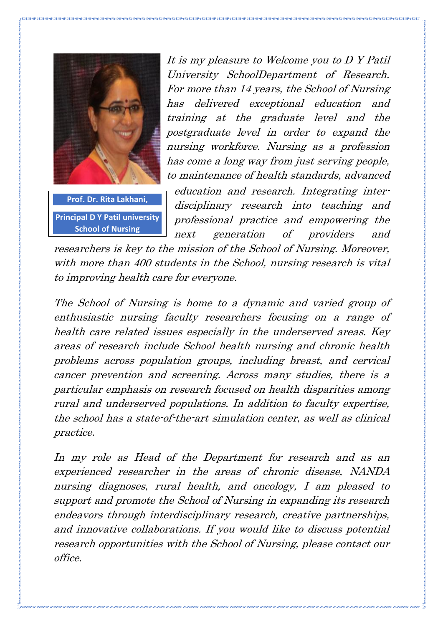

**Principal D Y Patil university School of Nursing**

It is my pleasure to Welcome you to D Y Patil University SchoolDepartment of Research. For more than 14 years, the School of Nursing has delivered exceptional education and training at the graduate level and the postgraduate level in order to expand the nursing workforce. Nursing as a profession has come a long way from just serving people, to maintenance of health standards, advanced

education and research. Integrating interdisciplinary research into teaching and professional practice and empowering the next generation of providers and

researchers is key to the mission of the School of Nursing. Moreover, with more than 400 students in the School, nursing research is vital to improving health care for everyone.

The School of Nursing is home to a dynamic and varied group of enthusiastic nursing faculty researchers focusing on a range of health care related issues especially in the underserved areas. Key areas of research include School health nursing and chronic health problems across population groups, including breast, and cervical cancer prevention and screening. Across many studies, there is a particular emphasis on research focused on health disparities among rural and underserved populations. In addition to faculty expertise, the school has a state-of-the-art simulation center, as well as clinical practice.

In my role as Head of the Department for research and as an experienced researcher in the areas of chronic disease, NANDA nursing diagnoses, rural health, and oncology, I am pleased to support and promote the School of Nursing in expanding its research endeavors through interdisciplinary research, creative partnerships, and innovative collaborations. If you would like to discuss potential research opportunities with the School of Nursing, please contact our office.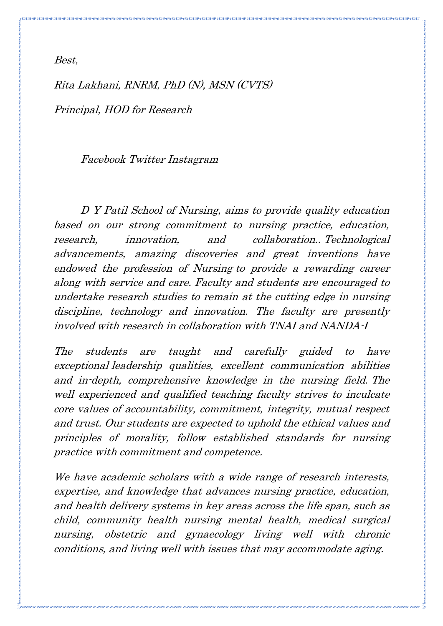Best,

Rita Lakhani, RNRM, PhD (N), MSN (CVTS) Principal, HOD for Research

Facebook Twitter Instagram

D Y Patil School of Nursing, aims to provide quality education based on our strong commitment to nursing practice, education, research, innovation, and collaboration.. Technological advancements, amazing discoveries and great inventions have endowed the profession of Nursing to provide a rewarding career along with service and care. Faculty and students are encouraged to undertake research studies to remain at the cutting edge in nursing discipline, technology and innovation. The faculty are presently involved with research in collaboration with TNAI and NANDA-I

The students are taught and carefully guided to have exceptional leadership qualities, excellent communication abilities and in-depth, comprehensive knowledge in the nursing field. The well experienced and qualified teaching faculty strives to inculcate core values of accountability, commitment, integrity, mutual respect and trust. Our students are expected to uphold the ethical values and principles of morality, follow established standards for nursing practice with commitment and competence.

We have academic scholars with a wide range of research interests, expertise, and knowledge that advances nursing practice, education, and health delivery systems in key areas across the life span, such as child, community health nursing mental health, medical surgical nursing, obstetric and gynaecology living well with chronic conditions, and living well with issues that may accommodate aging.